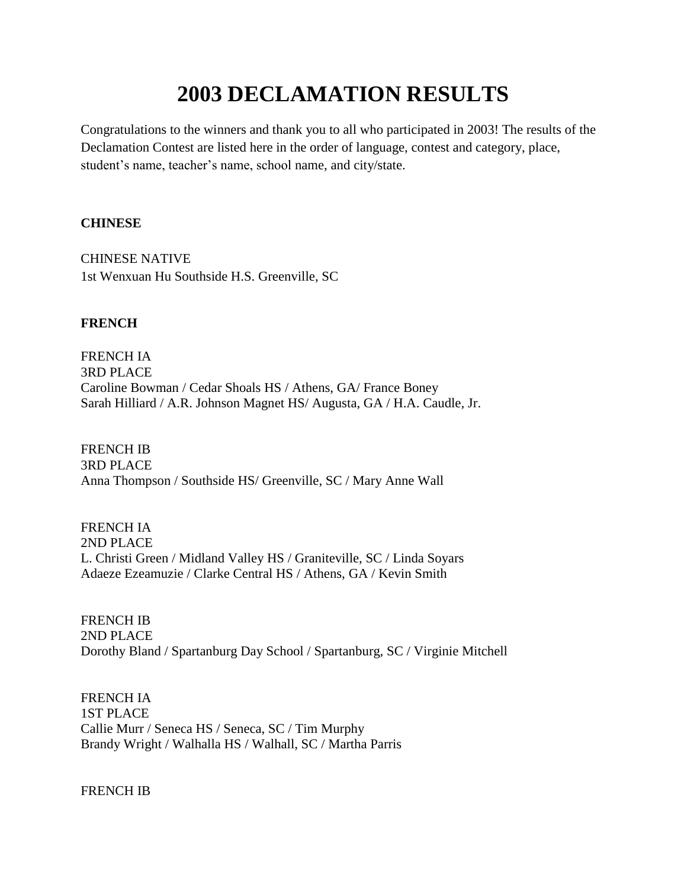# **2003 DECLAMATION RESULTS**

Congratulations to the winners and thank you to all who participated in 2003! The results of the Declamation Contest are listed here in the order of language, contest and category, place, student's name, teacher's name, school name, and city/state.

### **CHINESE**

CHINESE NATIVE 1st Wenxuan Hu Southside H.S. Greenville, SC

## **FRENCH**

FRENCH IA 3RD PLACE Caroline Bowman / Cedar Shoals HS / Athens, GA/ France Boney Sarah Hilliard / A.R. Johnson Magnet HS/ Augusta, GA / H.A. Caudle, Jr.

FRENCH IB 3RD PLACE Anna Thompson / Southside HS/ Greenville, SC / Mary Anne Wall

FRENCH IA 2ND PLACE L. Christi Green / Midland Valley HS / Graniteville, SC / Linda Soyars Adaeze Ezeamuzie / Clarke Central HS / Athens, GA / Kevin Smith

FRENCH IB 2ND PLACE Dorothy Bland / Spartanburg Day School / Spartanburg, SC / Virginie Mitchell

FRENCH IA 1ST PLACE Callie Murr / Seneca HS / Seneca, SC / Tim Murphy Brandy Wright / Walhalla HS / Walhall, SC / Martha Parris

FRENCH IB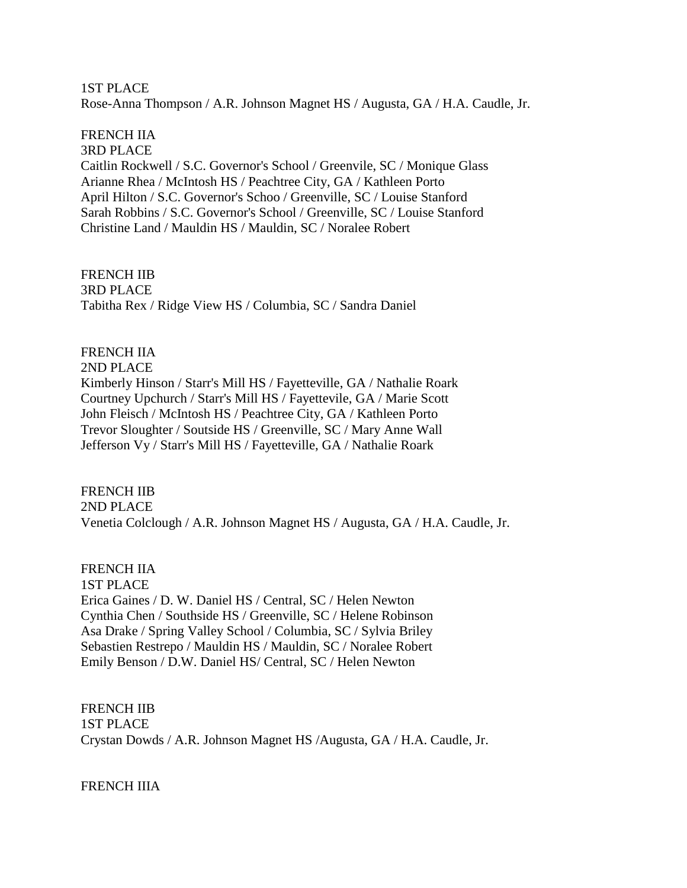1ST PLACE Rose-Anna Thompson / A.R. Johnson Magnet HS / Augusta, GA / H.A. Caudle, Jr.

## FRENCH IIA

3RD PLACE Caitlin Rockwell / S.C. Governor's School / Greenvile, SC / Monique Glass Arianne Rhea / McIntosh HS / Peachtree City, GA / Kathleen Porto April Hilton / S.C. Governor's Schoo / Greenville, SC / Louise Stanford Sarah Robbins / S.C. Governor's School / Greenville, SC / Louise Stanford Christine Land / Mauldin HS / Mauldin, SC / Noralee Robert

FRENCH IIB 3RD PLACE Tabitha Rex / Ridge View HS / Columbia, SC / Sandra Daniel

## FRENCH IIA

2ND PLACE Kimberly Hinson / Starr's Mill HS / Fayetteville, GA / Nathalie Roark Courtney Upchurch / Starr's Mill HS / Fayettevile, GA / Marie Scott John Fleisch / McIntosh HS / Peachtree City, GA / Kathleen Porto Trevor Sloughter / Soutside HS / Greenville, SC / Mary Anne Wall Jefferson Vy / Starr's Mill HS / Fayetteville, GA / Nathalie Roark

## FRENCH IIB

2ND PLACE

Venetia Colclough / A.R. Johnson Magnet HS / Augusta, GA / H.A. Caudle, Jr.

#### FRENCH IIA

1ST PLACE Erica Gaines / D. W. Daniel HS / Central, SC / Helen Newton Cynthia Chen / Southside HS / Greenville, SC / Helene Robinson Asa Drake / Spring Valley School / Columbia, SC / Sylvia Briley Sebastien Restrepo / Mauldin HS / Mauldin, SC / Noralee Robert Emily Benson / D.W. Daniel HS/ Central, SC / Helen Newton

FRENCH IIB 1ST PLACE Crystan Dowds / A.R. Johnson Magnet HS /Augusta, GA / H.A. Caudle, Jr.

FRENCH IIIA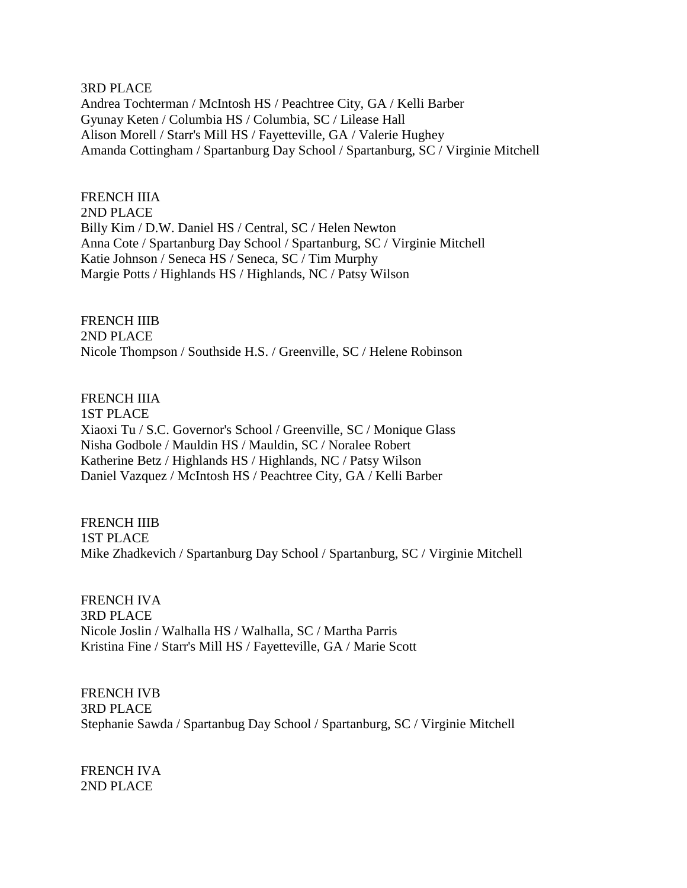#### 3RD PLACE

Andrea Tochterman / McIntosh HS / Peachtree City, GA / Kelli Barber Gyunay Keten / Columbia HS / Columbia, SC / Lilease Hall Alison Morell / Starr's Mill HS / Fayetteville, GA / Valerie Hughey Amanda Cottingham / Spartanburg Day School / Spartanburg, SC / Virginie Mitchell

#### FRENCH IIIA

2ND PLACE Billy Kim / D.W. Daniel HS / Central, SC / Helen Newton Anna Cote / Spartanburg Day School / Spartanburg, SC / Virginie Mitchell Katie Johnson / Seneca HS / Seneca, SC / Tim Murphy Margie Potts / Highlands HS / Highlands, NC / Patsy Wilson

## FRENCH IIIB

2ND PLACE Nicole Thompson / Southside H.S. / Greenville, SC / Helene Robinson

#### FRENCH IIIA

1ST PLACE Xiaoxi Tu / S.C. Governor's School / Greenville, SC / Monique Glass Nisha Godbole / Mauldin HS / Mauldin, SC / Noralee Robert Katherine Betz / Highlands HS / Highlands, NC / Patsy Wilson Daniel Vazquez / McIntosh HS / Peachtree City, GA / Kelli Barber

#### FRENCH IIIB

1ST PLACE

Mike Zhadkevich / Spartanburg Day School / Spartanburg, SC / Virginie Mitchell

### FRENCH IVA 3RD PLACE Nicole Joslin / Walhalla HS / Walhalla, SC / Martha Parris Kristina Fine / Starr's Mill HS / Fayetteville, GA / Marie Scott

FRENCH IVB 3RD PLACE Stephanie Sawda / Spartanbug Day School / Spartanburg, SC / Virginie Mitchell

FRENCH IVA 2ND PLACE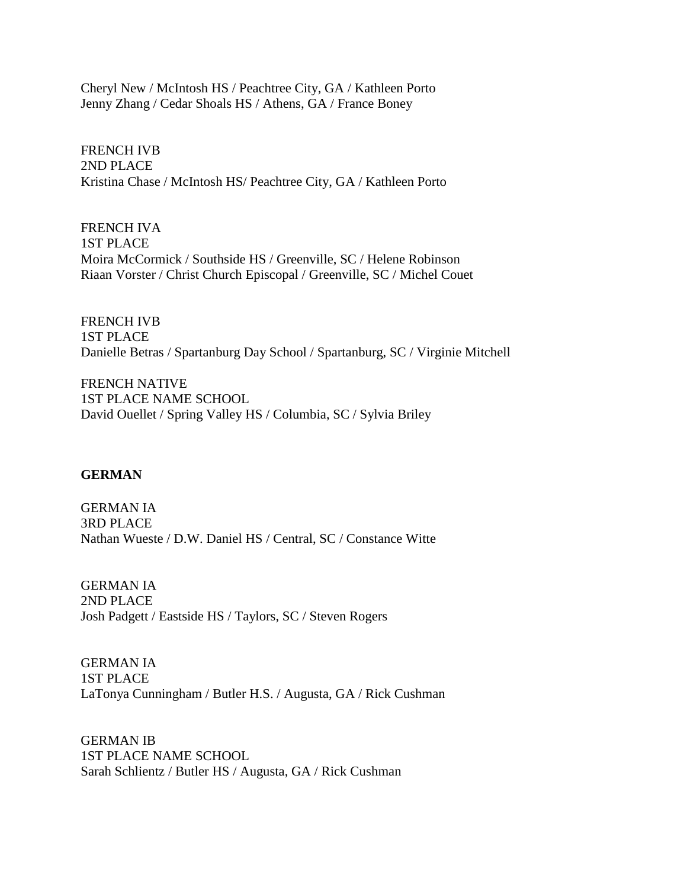Cheryl New / McIntosh HS / Peachtree City, GA / Kathleen Porto Jenny Zhang / Cedar Shoals HS / Athens, GA / France Boney

FRENCH IVB 2ND PLACE Kristina Chase / McIntosh HS/ Peachtree City, GA / Kathleen Porto

FRENCH IVA 1ST PLACE Moira McCormick / Southside HS / Greenville, SC / Helene Robinson Riaan Vorster / Christ Church Episcopal / Greenville, SC / Michel Couet

FRENCH IVB 1ST PLACE Danielle Betras / Spartanburg Day School / Spartanburg, SC / Virginie Mitchell

FRENCH NATIVE 1ST PLACE NAME SCHOOL David Ouellet / Spring Valley HS / Columbia, SC / Sylvia Briley

### **GERMAN**

GERMAN IA 3RD PLACE Nathan Wueste / D.W. Daniel HS / Central, SC / Constance Witte

GERMAN IA 2ND PLACE Josh Padgett / Eastside HS / Taylors, SC / Steven Rogers

GERMAN IA 1ST PLACE LaTonya Cunningham / Butler H.S. / Augusta, GA / Rick Cushman

GERMAN IB 1ST PLACE NAME SCHOOL Sarah Schlientz / Butler HS / Augusta, GA / Rick Cushman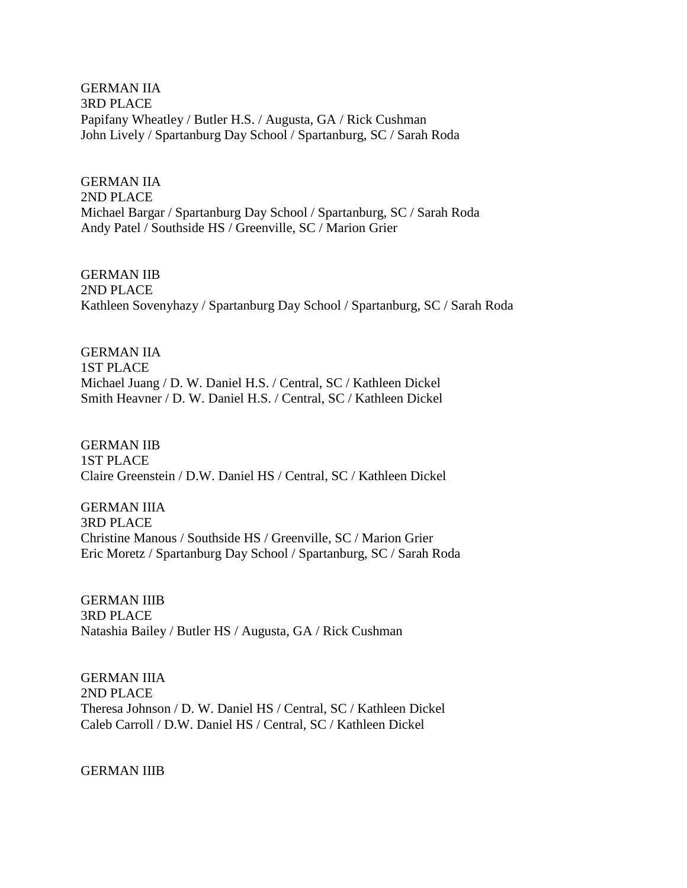GERMAN IIA 3RD PLACE Papifany Wheatley / Butler H.S. / Augusta, GA / Rick Cushman John Lively / Spartanburg Day School / Spartanburg, SC / Sarah Roda

GERMAN IIA 2ND PLACE Michael Bargar / Spartanburg Day School / Spartanburg, SC / Sarah Roda Andy Patel / Southside HS / Greenville, SC / Marion Grier

GERMAN IIB 2ND PLACE Kathleen Sovenyhazy / Spartanburg Day School / Spartanburg, SC / Sarah Roda

GERMAN IIA 1ST PLACE Michael Juang / D. W. Daniel H.S. / Central, SC / Kathleen Dickel Smith Heavner / D. W. Daniel H.S. / Central, SC / Kathleen Dickel

GERMAN IIB 1ST PLACE Claire Greenstein / D.W. Daniel HS / Central, SC / Kathleen Dickel

GERMAN IIIA 3RD PLACE Christine Manous / Southside HS / Greenville, SC / Marion Grier Eric Moretz / Spartanburg Day School / Spartanburg, SC / Sarah Roda

GERMAN IIIB 3RD PLACE Natashia Bailey / Butler HS / Augusta, GA / Rick Cushman

GERMAN IIIA 2ND PLACE Theresa Johnson / D. W. Daniel HS / Central, SC / Kathleen Dickel Caleb Carroll / D.W. Daniel HS / Central, SC / Kathleen Dickel

GERMAN IIIB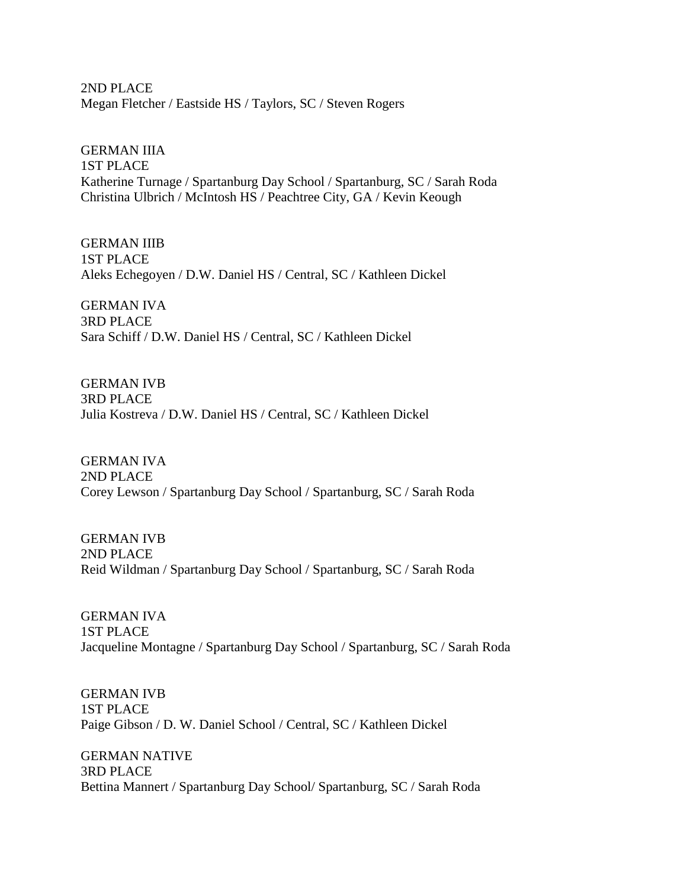2ND PLACE Megan Fletcher / Eastside HS / Taylors, SC / Steven Rogers

GERMAN IIIA 1ST PLACE Katherine Turnage / Spartanburg Day School / Spartanburg, SC / Sarah Roda Christina Ulbrich / McIntosh HS / Peachtree City, GA / Kevin Keough

GERMAN IIIB 1ST PLACE Aleks Echegoyen / D.W. Daniel HS / Central, SC / Kathleen Dickel

GERMAN IVA 3RD PLACE Sara Schiff / D.W. Daniel HS / Central, SC / Kathleen Dickel

GERMAN IVB 3RD PLACE Julia Kostreva / D.W. Daniel HS / Central, SC / Kathleen Dickel

GERMAN IVA 2ND PLACE Corey Lewson / Spartanburg Day School / Spartanburg, SC / Sarah Roda

GERMAN IVB 2ND PLACE Reid Wildman / Spartanburg Day School / Spartanburg, SC / Sarah Roda

GERMAN IVA 1ST PLACE Jacqueline Montagne / Spartanburg Day School / Spartanburg, SC / Sarah Roda

GERMAN IVB 1ST PLACE Paige Gibson / D. W. Daniel School / Central, SC / Kathleen Dickel

GERMAN NATIVE 3RD PLACE Bettina Mannert / Spartanburg Day School/ Spartanburg, SC / Sarah Roda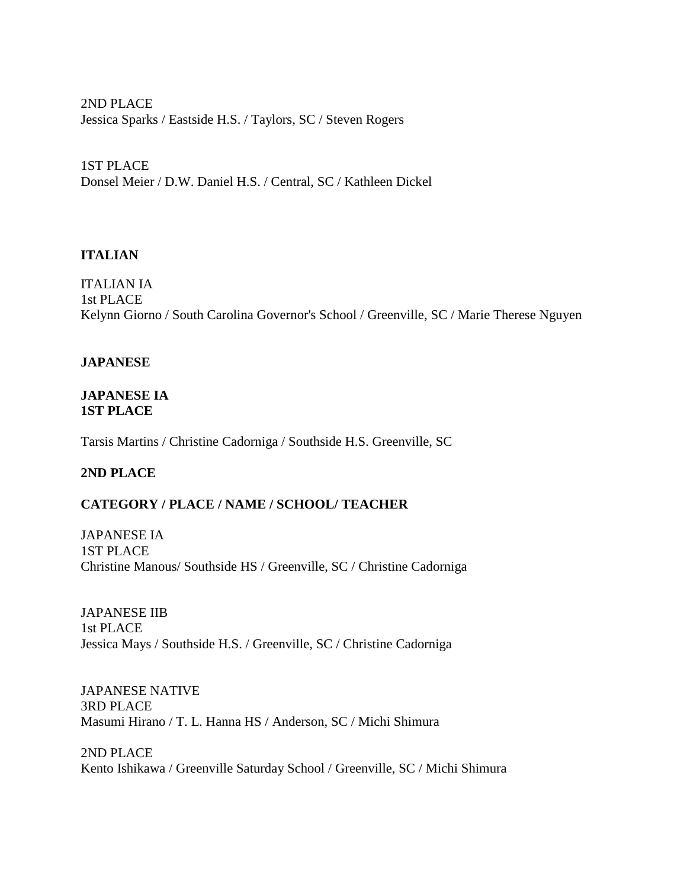2ND PLACE Jessica Sparks / Eastside H.S. / Taylors, SC / Steven Rogers

1ST PLACE Donsel Meier / D.W. Daniel H.S. / Central, SC / Kathleen Dickel

## **ITALIAN**

ITALIAN IA 1st PLACE Kelynn Giorno / South Carolina Governor's School / Greenville, SC / Marie Therese Nguyen

## **JAPANESE**

#### **JAPANESE IA 1ST PLACE**

Tarsis Martins / Christine Cadorniga / Southside H.S. Greenville, SC

## **2ND PLACE**

## **CATEGORY / PLACE / NAME / SCHOOL/ TEACHER**

JAPANESE IA 1ST PLACE Christine Manous/ Southside HS / Greenville, SC / Christine Cadorniga

JAPANESE IIB 1st PLACE Jessica Mays / Southside H.S. / Greenville, SC / Christine Cadorniga

JAPANESE NATIVE 3RD PLACE Masumi Hirano / T. L. Hanna HS / Anderson, SC / Michi Shimura

2ND PLACE Kento Ishikawa / Greenville Saturday School / Greenville, SC / Michi Shimura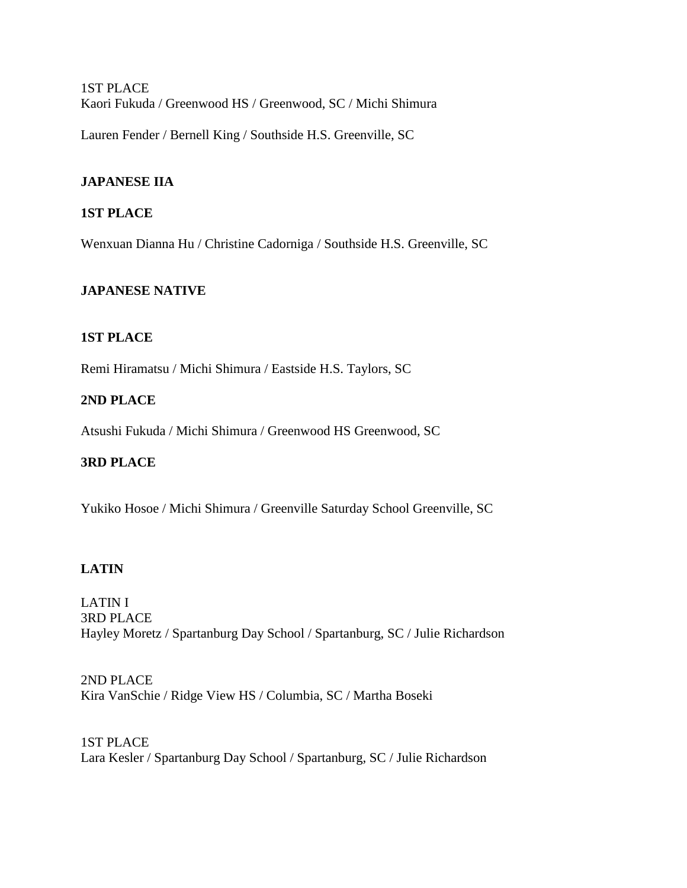1ST PLACE Kaori Fukuda / Greenwood HS / Greenwood, SC / Michi Shimura

Lauren Fender / Bernell King / Southside H.S. Greenville, SC

## **JAPANESE IIA**

## **1ST PLACE**

Wenxuan Dianna Hu / Christine Cadorniga / Southside H.S. Greenville, SC

### **JAPANESE NATIVE**

#### **1ST PLACE**

Remi Hiramatsu / Michi Shimura / Eastside H.S. Taylors, SC

### **2ND PLACE**

Atsushi Fukuda / Michi Shimura / Greenwood HS Greenwood, SC

### **3RD PLACE**

Yukiko Hosoe / Michi Shimura / Greenville Saturday School Greenville, SC

#### **LATIN**

LATIN I 3RD PLACE Hayley Moretz / Spartanburg Day School / Spartanburg, SC / Julie Richardson

2ND PLACE Kira VanSchie / Ridge View HS / Columbia, SC / Martha Boseki

1ST PLACE Lara Kesler / Spartanburg Day School / Spartanburg, SC / Julie Richardson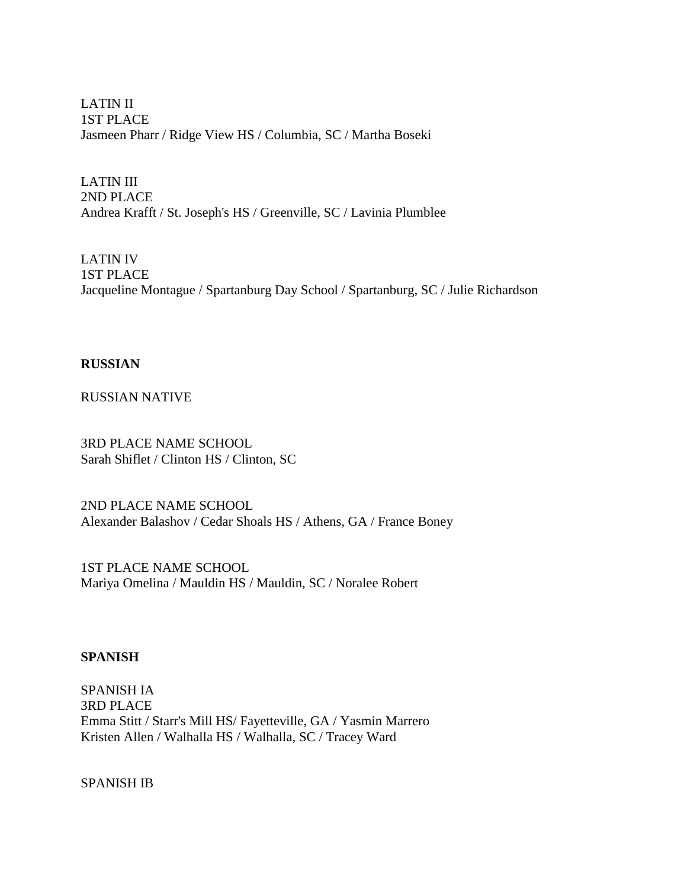LATIN II 1ST PLACE Jasmeen Pharr / Ridge View HS / Columbia, SC / Martha Boseki

LATIN III 2ND PLACE Andrea Krafft / St. Joseph's HS / Greenville, SC / Lavinia Plumblee

LATIN IV 1ST PLACE Jacqueline Montague / Spartanburg Day School / Spartanburg, SC / Julie Richardson

#### **RUSSIAN**

RUSSIAN NATIVE

3RD PLACE NAME SCHOOL Sarah Shiflet / Clinton HS / Clinton, SC

2ND PLACE NAME SCHOOL Alexander Balashov / Cedar Shoals HS / Athens, GA / France Boney

1ST PLACE NAME SCHOOL Mariya Omelina / Mauldin HS / Mauldin, SC / Noralee Robert

#### **SPANISH**

SPANISH IA 3RD PLACE Emma Stitt / Starr's Mill HS/ Fayetteville, GA / Yasmin Marrero Kristen Allen / Walhalla HS / Walhalla, SC / Tracey Ward

SPANISH IB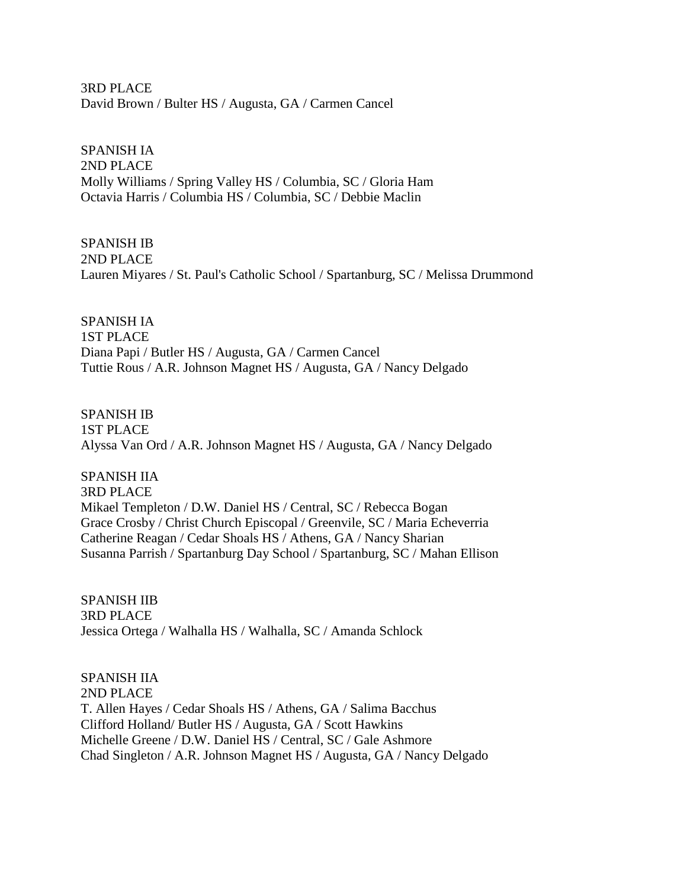3RD PLACE David Brown / Bulter HS / Augusta, GA / Carmen Cancel

SPANISH IA

2ND PLACE Molly Williams / Spring Valley HS / Columbia, SC / Gloria Ham Octavia Harris / Columbia HS / Columbia, SC / Debbie Maclin

SPANISH IB 2ND PLACE Lauren Miyares / St. Paul's Catholic School / Spartanburg, SC / Melissa Drummond

SPANISH IA 1ST PLACE Diana Papi / Butler HS / Augusta, GA / Carmen Cancel Tuttie Rous / A.R. Johnson Magnet HS / Augusta, GA / Nancy Delgado

SPANISH IB 1ST PLACE Alyssa Van Ord / A.R. Johnson Magnet HS / Augusta, GA / Nancy Delgado

SPANISH IIA 3RD PLACE Mikael Templeton / D.W. Daniel HS / Central, SC / Rebecca Bogan Grace Crosby / Christ Church Episcopal / Greenvile, SC / Maria Echeverria Catherine Reagan / Cedar Shoals HS / Athens, GA / Nancy Sharian Susanna Parrish / Spartanburg Day School / Spartanburg, SC / Mahan Ellison

SPANISH IIB 3RD PLACE Jessica Ortega / Walhalla HS / Walhalla, SC / Amanda Schlock

SPANISH IIA 2ND PLACE T. Allen Hayes / Cedar Shoals HS / Athens, GA / Salima Bacchus Clifford Holland/ Butler HS / Augusta, GA / Scott Hawkins Michelle Greene / D.W. Daniel HS / Central, SC / Gale Ashmore Chad Singleton / A.R. Johnson Magnet HS / Augusta, GA / Nancy Delgado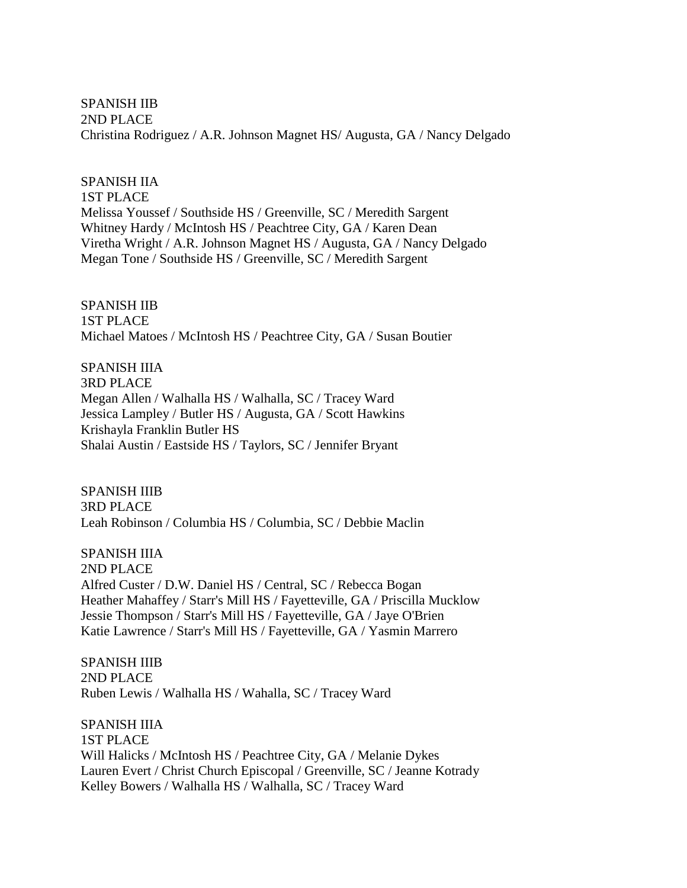SPANISH IIB 2ND PLACE Christina Rodriguez / A.R. Johnson Magnet HS/ Augusta, GA / Nancy Delgado

#### SPANISH IIA

1ST PLACE Melissa Youssef / Southside HS / Greenville, SC / Meredith Sargent Whitney Hardy / McIntosh HS / Peachtree City, GA / Karen Dean Viretha Wright / A.R. Johnson Magnet HS / Augusta, GA / Nancy Delgado Megan Tone / Southside HS / Greenville, SC / Meredith Sargent

SPANISH IIB 1ST PLACE Michael Matoes / McIntosh HS / Peachtree City, GA / Susan Boutier

SPANISH IIIA 3RD PLACE Megan Allen / Walhalla HS / Walhalla, SC / Tracey Ward Jessica Lampley / Butler HS / Augusta, GA / Scott Hawkins Krishayla Franklin Butler HS Shalai Austin / Eastside HS / Taylors, SC / Jennifer Bryant

SPANISH IIIB 3RD PLACE Leah Robinson / Columbia HS / Columbia, SC / Debbie Maclin

SPANISH IIIA 2ND PLACE Alfred Custer / D.W. Daniel HS / Central, SC / Rebecca Bogan Heather Mahaffey / Starr's Mill HS / Fayetteville, GA / Priscilla Mucklow Jessie Thompson / Starr's Mill HS / Fayetteville, GA / Jaye O'Brien Katie Lawrence / Starr's Mill HS / Fayetteville, GA / Yasmin Marrero

SPANISH IIIB 2ND PLACE Ruben Lewis / Walhalla HS / Wahalla, SC / Tracey Ward

SPANISH IIIA 1ST PLACE Will Halicks / McIntosh HS / Peachtree City, GA / Melanie Dykes Lauren Evert / Christ Church Episcopal / Greenville, SC / Jeanne Kotrady Kelley Bowers / Walhalla HS / Walhalla, SC / Tracey Ward